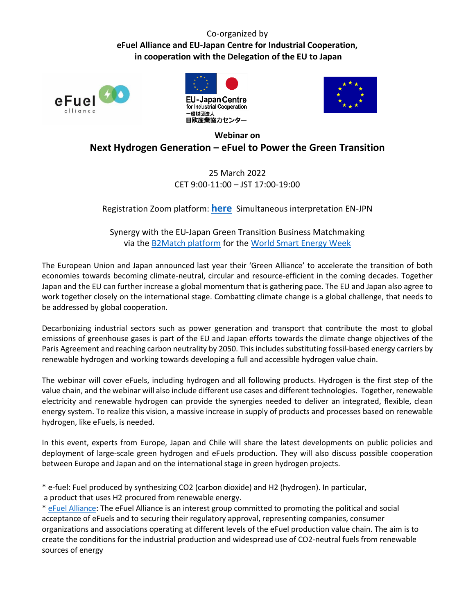## Co-organized by **eFuel Alliance and EU-Japan Centre for Industrial Cooperation, in cooperation with the Delegation of the EU to Japan**







## **Webinar on Next Hydrogen Generation – eFuel to Power the Green Transition**

## 25 March 2022 CET 9:00-11:00 – JST 17:00-19:00

Registration Zoom platform: **[here](https://us06web.zoom.us/webinar/register/WN_xl4fLCnyTIOM82377xtpdA)** Simultaneous interpretation EN-JPN

Synergy with the EU-Japan Green Transition Business Matchmaking via the [B2Match platform](https://eu-japan-green-transition-2022.b2match.io/) for the [World Smart Energy Week](https://www.wsew.jp/en-gb.html)

The European Union and Japan announced last year their 'Green Alliance' to accelerate the transition of both economies towards becoming climate-neutral, circular and resource-efficient in the coming decades. Together Japan and the EU can further increase a global momentum that is gathering pace. The EU and Japan also agree to work together closely on the international stage. Combatting climate change is a global challenge, that needs to be addressed by global cooperation.

Decarbonizing industrial sectors such as power generation and transport that contribute the most to global emissions of greenhouse gases is part of the EU and Japan efforts towards the climate change objectives of the Paris Agreement and reaching carbon neutrality by 2050. This includes substituting fossil-based energy carriers by renewable hydrogen and working towards developing a full and accessible hydrogen value chain.

The webinar will cover eFuels, including hydrogen and all following products. Hydrogen is the first step of the value chain, and the webinar will also include different use cases and different technologies. Together, renewable electricity and renewable hydrogen can provide the synergies needed to deliver an integrated, flexible, clean energy system. To realize this vision, a massive increase in supply of products and processes based on renewable hydrogen, like eFuels, is needed.

In this event, experts from Europe, Japan and Chile will share the latest developments on public policies and deployment of large-scale green hydrogen and eFuels production. They will also discuss possible cooperation between Europe and Japan and on the international stage in green hydrogen projects.

\* e-fuel: Fuel produced by synthesizing CO2 (carbon dioxide) and H2 (hydrogen). In particular, a product that uses H2 procured from renewable energy.

\* [eFuel Alliance:](https://www.efuel-alliance.eu/) The eFuel Alliance is an interest group committed to promoting the political and social acceptance of eFuels and to securing their regulatory approval, representing companies, consumer organizations and associations operating at different levels of the eFuel production value chain. The aim is to create the conditions for the industrial production and widespread use of CO2-neutral fuels from renewable sources of energy